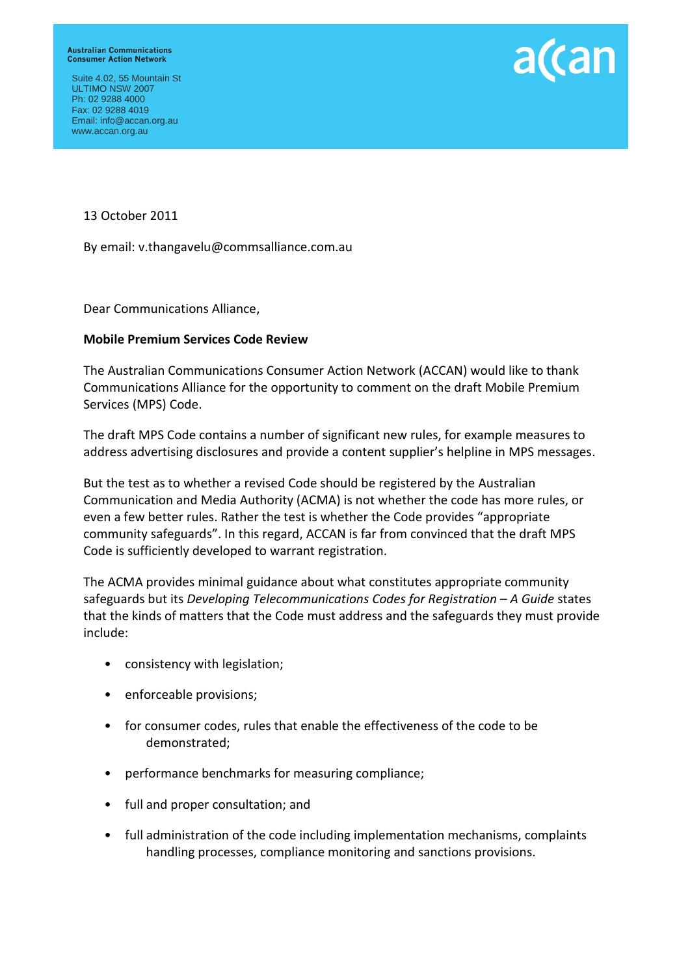Suite 4.02, 55 Mountain St ULTIMO NSW 2007 Ph: 02 9288 4000 Fax: 02 9288 4019 Email: info@accan.org.au www.accan.org.au



13 October 2011

By email: v.thangavelu@commsalliance.com.au

Dear Communications Alliance,

#### **Mobile Premium Services Code Review**

The Australian Communications Consumer Action Network (ACCAN) would like to thank Communications Alliance for the opportunity to comment on the draft Mobile Premium Services (MPS) Code.

The draft MPS Code contains a number of significant new rules, for example measures to address advertising disclosures and provide a content supplier's helpline in MPS messages.

But the test as to whether a revised Code should be registered by the Australian Communication and Media Authority (ACMA) is not whether the code has more rules, or even a few better rules. Rather the test is whether the Code provides "appropriate community safeguards". In this regard, ACCAN is far from convinced that the draft MPS Code is sufficiently developed to warrant registration.

The ACMA provides minimal guidance about what constitutes appropriate community safeguards but its *Developing Telecommunications Codes for Registration – A Guide* states that the kinds of matters that the Code must address and the safeguards they must provide include:

- consistency with legislation;
- enforceable provisions;
- for consumer codes, rules that enable the effectiveness of the code to be demonstrated;
- performance benchmarks for measuring compliance;
- full and proper consultation; and
- full administration of the code including implementation mechanisms, complaints handling processes, compliance monitoring and sanctions provisions.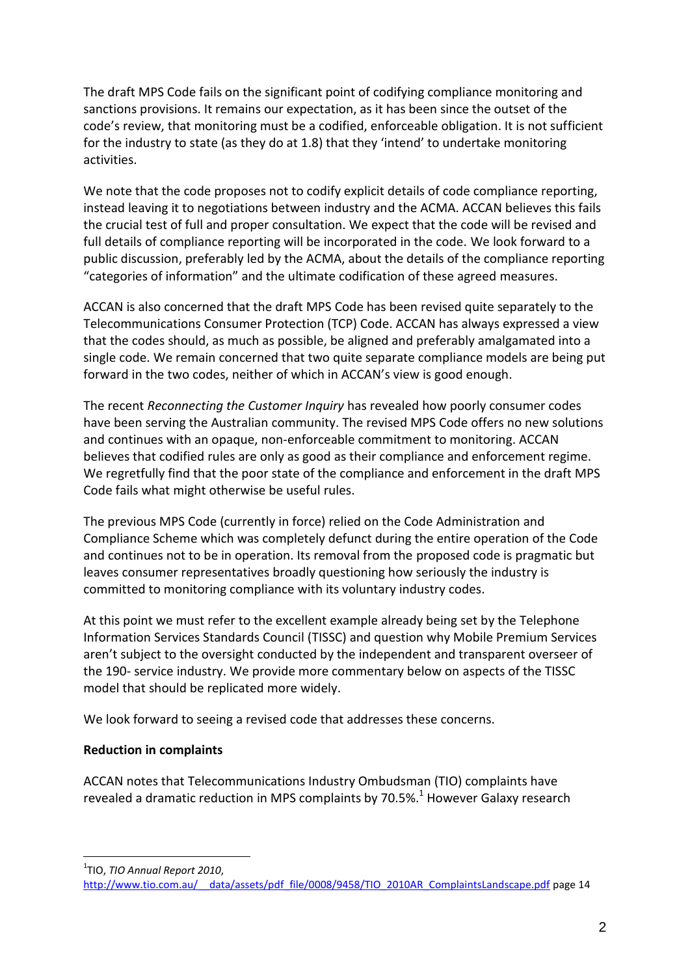The draft MPS Code fails on the significant point of codifying compliance monitoring and sanctions provisions. It remains our expectation, as it has been since the outset of the code's review, that monitoring must be a codified, enforceable obligation. It is not sufficient for the industry to state (as they do at 1.8) that they 'intend' to undertake monitoring activities.

We note that the code proposes not to codify explicit details of code compliance reporting, instead leaving it to negotiations between industry and the ACMA. ACCAN believes this fails the crucial test of full and proper consultation. We expect that the code will be revised and full details of compliance reporting will be incorporated in the code. We look forward to a public discussion, preferably led by the ACMA, about the details of the compliance reporting "categories of information" and the ultimate codification of these agreed measures.

ACCAN is also concerned that the draft MPS Code has been revised quite separately to the Telecommunications Consumer Protection (TCP) Code. ACCAN has always expressed a view that the codes should, as much as possible, be aligned and preferably amalgamated into a single code. We remain concerned that two quite separate compliance models are being put forward in the two codes, neither of which in ACCAN's view is good enough.

The recent *Reconnecting the Customer Inquiry* has revealed how poorly consumer codes have been serving the Australian community. The revised MPS Code offers no new solutions and continues with an opaque, non-enforceable commitment to monitoring. ACCAN believes that codified rules are only as good as their compliance and enforcement regime. We regretfully find that the poor state of the compliance and enforcement in the draft MPS Code fails what might otherwise be useful rules.

The previous MPS Code (currently in force) relied on the Code Administration and Compliance Scheme which was completely defunct during the entire operation of the Code and continues not to be in operation. Its removal from the proposed code is pragmatic but leaves consumer representatives broadly questioning how seriously the industry is committed to monitoring compliance with its voluntary industry codes.

At this point we must refer to the excellent example already being set by the Telephone Information Services Standards Council (TISSC) and question why Mobile Premium Services aren't subject to the oversight conducted by the independent and transparent overseer of the 190- service industry. We provide more commentary below on aspects of the TISSC model that should be replicated more widely.

We look forward to seeing a revised code that addresses these concerns.

#### **Reduction in complaints**

ACCAN notes that Telecommunications Industry Ombudsman (TIO) complaints have revealed a dramatic reduction in MPS complaints by 70.5%.<sup>1</sup> However Galaxy research

<u>.</u> 1 TIO, *TIO Annual Report 2010*,

[http://www.tio.com.au/\\_\\_data/assets/pdf\\_file/0008/9458/TIO\\_2010AR\\_ComplaintsLandscape.pdf](http://www.tio.com.au/__data/assets/pdf_file/0008/9458/TIO_2010AR_ComplaintsLandscape.pdf) page 14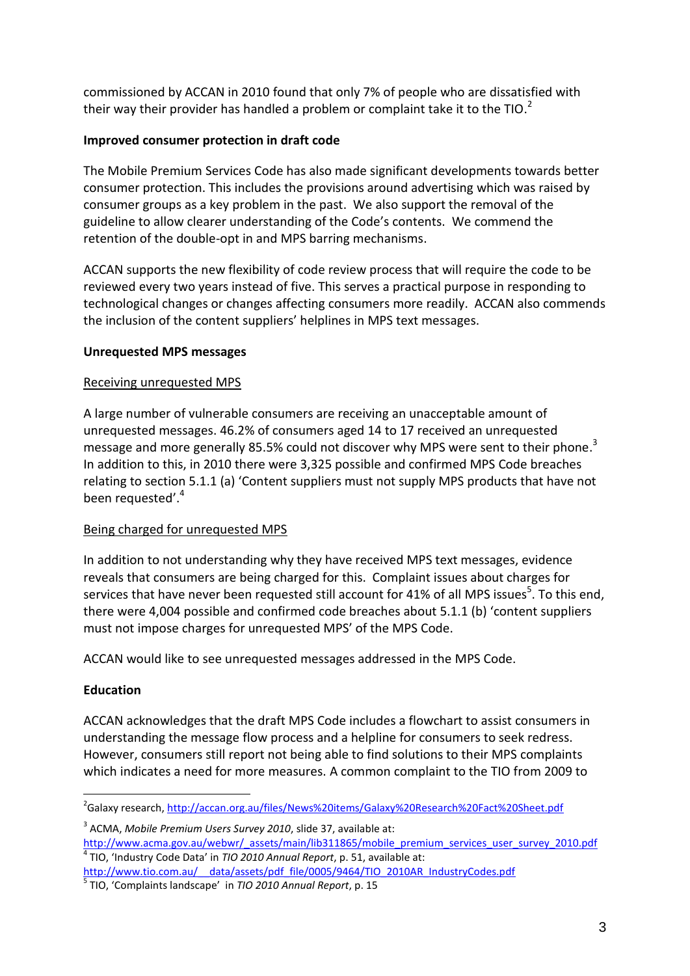commissioned by ACCAN in 2010 found that only 7% of people who are dissatisfied with their way their provider has handled a problem or complaint take it to the TIO.<sup>2</sup>

# **Improved consumer protection in draft code**

The Mobile Premium Services Code has also made significant developments towards better consumer protection. This includes the provisions around advertising which was raised by consumer groups as a key problem in the past. We also support the removal of the guideline to allow clearer understanding of the Code's contents. We commend the retention of the double-opt in and MPS barring mechanisms.

ACCAN supports the new flexibility of code review process that will require the code to be reviewed every two years instead of five. This serves a practical purpose in responding to technological changes or changes affecting consumers more readily. ACCAN also commends the inclusion of the content suppliers' helplines in MPS text messages.

## **Unrequested MPS messages**

#### Receiving unrequested MPS

A large number of vulnerable consumers are receiving an unacceptable amount of unrequested messages. 46.2% of consumers aged 14 to 17 received an unrequested message and more generally 85.5% could not discover why MPS were sent to their phone.<sup>3</sup> In addition to this, in 2010 there were 3,325 possible and confirmed MPS Code breaches relating to section 5.1.1 (a) 'Content suppliers must not supply MPS products that have not been requested'.<sup>4</sup>

## Being charged for unrequested MPS

In addition to not understanding why they have received MPS text messages, evidence reveals that consumers are being charged for this. Complaint issues about charges for services that have never been requested still account for 41% of all MPS issues<sup>5</sup>. To this end, there were 4,004 possible and confirmed code breaches about 5.1.1 (b) 'content suppliers must not impose charges for unrequested MPS' of the MPS Code.

ACCAN would like to see unrequested messages addressed in the MPS Code.

## **Education**

1

ACCAN acknowledges that the draft MPS Code includes a flowchart to assist consumers in understanding the message flow process and a helpline for consumers to seek redress. However, consumers still report not being able to find solutions to their MPS complaints which indicates a need for more measures. A common complaint to the TIO from 2009 to

<sup>&</sup>lt;sup>2</sup>Galaxy research, <u>http://accan.org.au/files/News%20items/Galaxy%20Research%20Fact%20Sheet.pdf</u>

<sup>3</sup> ACMA, *Mobile Premium Users Survey 2010*, slide 37, available at:

[http://www.acma.gov.au/webwr/\\_assets/main/lib311865/mobile\\_premium\\_services\\_user\\_survey\\_2010.pdf](http://www.acma.gov.au/webwr/_assets/main/lib311865/mobile_premium_services_user_survey_2010.pdf) 4 TIO, 'Industry Code Data' in *TIO 2010 Annual Report*, p. 51, available at:

[http://www.tio.com.au/\\_\\_data/assets/pdf\\_file/0005/9464/TIO\\_2010AR\\_IndustryCodes.pdf](http://www.tio.com.au/__data/assets/pdf_file/0005/9464/TIO_2010AR_IndustryCodes.pdf)

<sup>5</sup> TIO, 'Complaints landscape' in *TIO 2010 Annual Report*, p. 15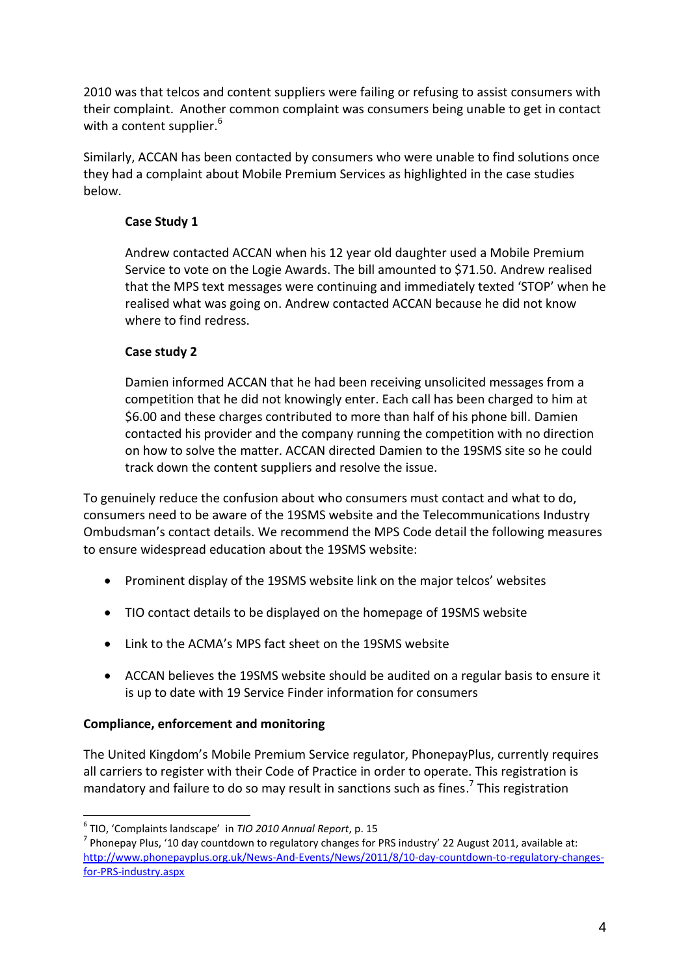2010 was that telcos and content suppliers were failing or refusing to assist consumers with their complaint. Another common complaint was consumers being unable to get in contact with a content supplier.<sup>6</sup>

Similarly, ACCAN has been contacted by consumers who were unable to find solutions once they had a complaint about Mobile Premium Services as highlighted in the case studies below.

# **Case Study 1**

Andrew contacted ACCAN when his 12 year old daughter used a Mobile Premium Service to vote on the Logie Awards. The bill amounted to \$71.50. Andrew realised that the MPS text messages were continuing and immediately texted 'STOP' when he realised what was going on. Andrew contacted ACCAN because he did not know where to find redress.

# **Case study 2**

Damien informed ACCAN that he had been receiving unsolicited messages from a competition that he did not knowingly enter. Each call has been charged to him at \$6.00 and these charges contributed to more than half of his phone bill. Damien contacted his provider and the company running the competition with no direction on how to solve the matter. ACCAN directed Damien to the 19SMS site so he could track down the content suppliers and resolve the issue.

To genuinely reduce the confusion about who consumers must contact and what to do, consumers need to be aware of the 19SMS website and the Telecommunications Industry Ombudsman's contact details. We recommend the MPS Code detail the following measures to ensure widespread education about the 19SMS website:

- Prominent display of the 19SMS website link on the major telcos' websites
- TIO contact details to be displayed on the homepage of 19SMS website
- Link to the ACMA's MPS fact sheet on the 19SMS website
- ACCAN believes the 19SMS website should be audited on a regular basis to ensure it is up to date with 19 Service Finder information for consumers

## **Compliance, enforcement and monitoring**

1

The United Kingdom's Mobile Premium Service regulator, PhonepayPlus, currently requires all carriers to register with their Code of Practice in order to operate. This registration is mandatory and failure to do so may result in sanctions such as fines.<sup>7</sup> This registration

<sup>6</sup> TIO, 'Complaints landscape' in *TIO 2010 Annual Report*, p. 15

<sup>&</sup>lt;sup>7</sup> Phonepay Plus, '10 day countdown to regulatory changes for PRS industry' 22 August 2011, available at: [http://www.phonepayplus.org.uk/News-And-Events/News/2011/8/10-day-countdown-to-regulatory-changes](http://www.phonepayplus.org.uk/News-And-Events/News/2011/8/10-day-countdown-to-regulatory-changes-for-PRS-industry.aspx)[for-PRS-industry.aspx](http://www.phonepayplus.org.uk/News-And-Events/News/2011/8/10-day-countdown-to-regulatory-changes-for-PRS-industry.aspx)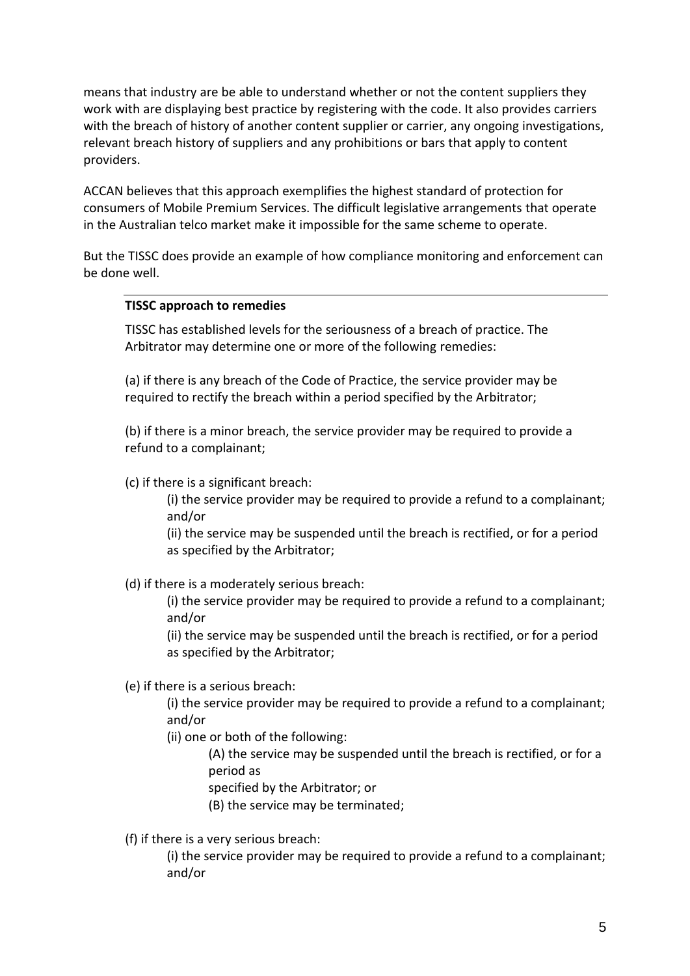means that industry are be able to understand whether or not the content suppliers they work with are displaying best practice by registering with the code. It also provides carriers with the breach of history of another content supplier or carrier, any ongoing investigations, relevant breach history of suppliers and any prohibitions or bars that apply to content providers.

ACCAN believes that this approach exemplifies the highest standard of protection for consumers of Mobile Premium Services. The difficult legislative arrangements that operate in the Australian telco market make it impossible for the same scheme to operate.

But the TISSC does provide an example of how compliance monitoring and enforcement can be done well.

#### **TISSC approach to remedies**

TISSC has established levels for the seriousness of a breach of practice. The Arbitrator may determine one or more of the following remedies:

(a) if there is any breach of the Code of Practice, the service provider may be required to rectify the breach within a period specified by the Arbitrator;

(b) if there is a minor breach, the service provider may be required to provide a refund to a complainant;

(c) if there is a significant breach:

(i) the service provider may be required to provide a refund to a complainant; and/or

(ii) the service may be suspended until the breach is rectified, or for a period as specified by the Arbitrator;

(d) if there is a moderately serious breach:

(i) the service provider may be required to provide a refund to a complainant; and/or

(ii) the service may be suspended until the breach is rectified, or for a period as specified by the Arbitrator;

(e) if there is a serious breach:

(i) the service provider may be required to provide a refund to a complainant; and/or

(ii) one or both of the following:

(A) the service may be suspended until the breach is rectified, or for a period as

specified by the Arbitrator; or

(B) the service may be terminated;

(f) if there is a very serious breach:

(i) the service provider may be required to provide a refund to a complainant; and/or